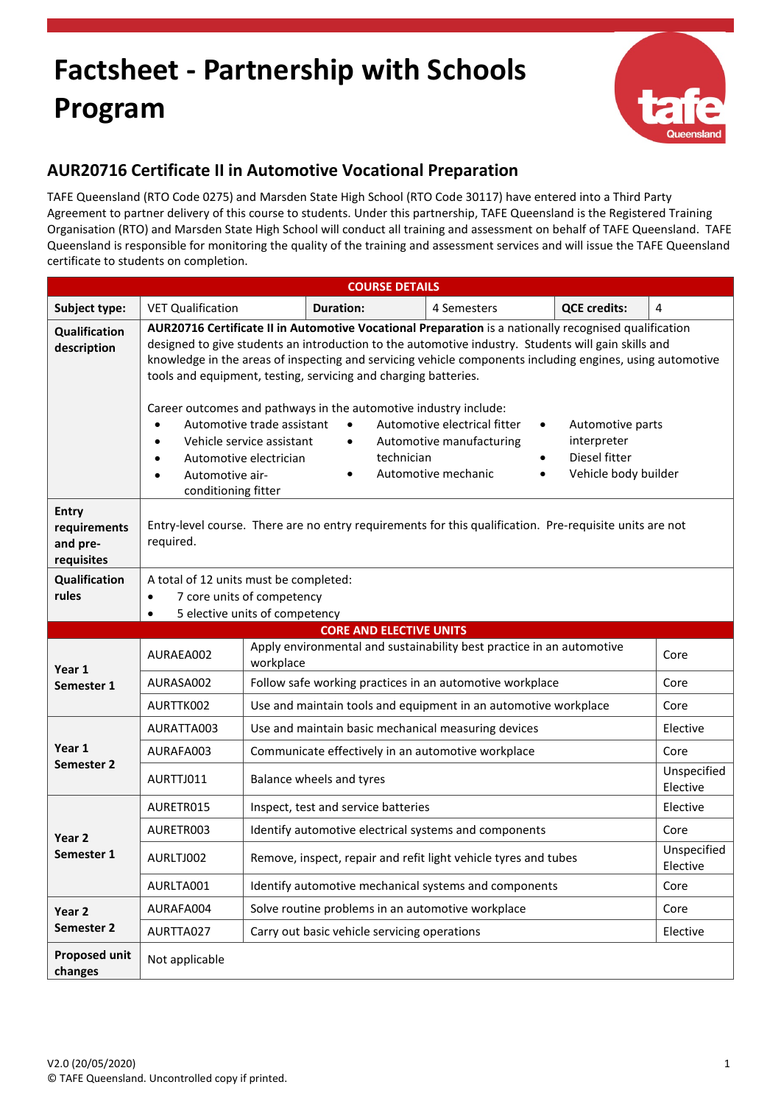## **Factsheet - Partnership with Schools Program**



## **AUR20716 Certificate II in Automotive Vocational Preparation**

TAFE Queensland (RTO Code 0275) and Marsden State High School (RTO Code 30117) have entered into a Third Party Agreement to partner delivery of this course to students. Under this partnership, TAFE Queensland is the Registered Training Organisation (RTO) and Marsden State High School will conduct all training and assessment on behalf of TAFE Queensland. TAFE Queensland is responsible for monitoring the quality of the training and assessment services and will issue the TAFE Queensland certificate to students on completion.

| <b>COURSE DETAILS</b>                                  |                                                                                                                                                                                                                                                                                                                                                                                                                                                                                                                                                                                                                                                                                                                                                                                                                                                                                                   |                                                                 |                                                                 |                                                                       |                         |          |
|--------------------------------------------------------|---------------------------------------------------------------------------------------------------------------------------------------------------------------------------------------------------------------------------------------------------------------------------------------------------------------------------------------------------------------------------------------------------------------------------------------------------------------------------------------------------------------------------------------------------------------------------------------------------------------------------------------------------------------------------------------------------------------------------------------------------------------------------------------------------------------------------------------------------------------------------------------------------|-----------------------------------------------------------------|-----------------------------------------------------------------|-----------------------------------------------------------------------|-------------------------|----------|
| Subject type:                                          | <b>VET Qualification</b>                                                                                                                                                                                                                                                                                                                                                                                                                                                                                                                                                                                                                                                                                                                                                                                                                                                                          |                                                                 | <b>Duration:</b>                                                | 4 Semesters                                                           | <b>QCE credits:</b>     | 4        |
| Qualification<br>description                           | AUR20716 Certificate II in Automotive Vocational Preparation is a nationally recognised qualification<br>designed to give students an introduction to the automotive industry. Students will gain skills and<br>knowledge in the areas of inspecting and servicing vehicle components including engines, using automotive<br>tools and equipment, testing, servicing and charging batteries.<br>Career outcomes and pathways in the automotive industry include:<br>Automotive electrical fitter<br>Automotive trade assistant<br>$\bullet$<br>Automotive parts<br>$\bullet$<br>$\bullet$<br>interpreter<br>Vehicle service assistant<br>Automotive manufacturing<br>$\bullet$<br>$\bullet$<br>Diesel fitter<br>technician<br>Automotive electrician<br>$\bullet$<br>$\bullet$<br>Vehicle body builder<br>Automotive mechanic<br>Automotive air-<br>$\bullet$<br>$\bullet$<br>conditioning fitter |                                                                 |                                                                 |                                                                       |                         |          |
| <b>Entry</b><br>requirements<br>and pre-<br>requisites | Entry-level course. There are no entry requirements for this qualification. Pre-requisite units are not<br>required.                                                                                                                                                                                                                                                                                                                                                                                                                                                                                                                                                                                                                                                                                                                                                                              |                                                                 |                                                                 |                                                                       |                         |          |
| Qualification<br>rules                                 | A total of 12 units must be completed:<br>7 core units of competency<br>$\bullet$<br>5 elective units of competency<br>$\bullet$                                                                                                                                                                                                                                                                                                                                                                                                                                                                                                                                                                                                                                                                                                                                                                  |                                                                 |                                                                 |                                                                       |                         |          |
|                                                        |                                                                                                                                                                                                                                                                                                                                                                                                                                                                                                                                                                                                                                                                                                                                                                                                                                                                                                   |                                                                 | <b>CORE AND ELECTIVE UNITS</b>                                  |                                                                       |                         |          |
| Year 1<br>Semester 1                                   | AURAEA002                                                                                                                                                                                                                                                                                                                                                                                                                                                                                                                                                                                                                                                                                                                                                                                                                                                                                         | workplace                                                       |                                                                 | Apply environmental and sustainability best practice in an automotive |                         | Core     |
|                                                        | AURASA002                                                                                                                                                                                                                                                                                                                                                                                                                                                                                                                                                                                                                                                                                                                                                                                                                                                                                         | Follow safe working practices in an automotive workplace        |                                                                 | Core                                                                  |                         |          |
|                                                        | AURTTK002                                                                                                                                                                                                                                                                                                                                                                                                                                                                                                                                                                                                                                                                                                                                                                                                                                                                                         | Use and maintain tools and equipment in an automotive workplace |                                                                 |                                                                       | Core                    |          |
| Year 1<br>Semester 2                                   | AURATTA003                                                                                                                                                                                                                                                                                                                                                                                                                                                                                                                                                                                                                                                                                                                                                                                                                                                                                        |                                                                 | Use and maintain basic mechanical measuring devices             |                                                                       |                         | Elective |
|                                                        | AURAFA003                                                                                                                                                                                                                                                                                                                                                                                                                                                                                                                                                                                                                                                                                                                                                                                                                                                                                         | Communicate effectively in an automotive workplace              |                                                                 | Core                                                                  |                         |          |
|                                                        | AURTTJ011<br>Balance wheels and tyres                                                                                                                                                                                                                                                                                                                                                                                                                                                                                                                                                                                                                                                                                                                                                                                                                                                             |                                                                 |                                                                 |                                                                       | Unspecified<br>Elective |          |
| Year <sub>2</sub><br>Semester 1                        | AURETR015                                                                                                                                                                                                                                                                                                                                                                                                                                                                                                                                                                                                                                                                                                                                                                                                                                                                                         |                                                                 | Inspect, test and service batteries                             |                                                                       |                         | Elective |
|                                                        | AURETR003                                                                                                                                                                                                                                                                                                                                                                                                                                                                                                                                                                                                                                                                                                                                                                                                                                                                                         |                                                                 | Identify automotive electrical systems and components           |                                                                       |                         | Core     |
|                                                        | AURLTJ002                                                                                                                                                                                                                                                                                                                                                                                                                                                                                                                                                                                                                                                                                                                                                                                                                                                                                         |                                                                 | Remove, inspect, repair and refit light vehicle tyres and tubes |                                                                       | Unspecified<br>Elective |          |
|                                                        | AURLTA001                                                                                                                                                                                                                                                                                                                                                                                                                                                                                                                                                                                                                                                                                                                                                                                                                                                                                         |                                                                 | Identify automotive mechanical systems and components           |                                                                       | Core                    |          |
| Year 2<br>Semester <sub>2</sub>                        | AURAFA004                                                                                                                                                                                                                                                                                                                                                                                                                                                                                                                                                                                                                                                                                                                                                                                                                                                                                         |                                                                 | Solve routine problems in an automotive workplace               |                                                                       |                         | Core     |
|                                                        | Carry out basic vehicle servicing operations<br>AURTTA027                                                                                                                                                                                                                                                                                                                                                                                                                                                                                                                                                                                                                                                                                                                                                                                                                                         |                                                                 |                                                                 | Elective                                                              |                         |          |
| <b>Proposed unit</b><br>changes                        | Not applicable                                                                                                                                                                                                                                                                                                                                                                                                                                                                                                                                                                                                                                                                                                                                                                                                                                                                                    |                                                                 |                                                                 |                                                                       |                         |          |